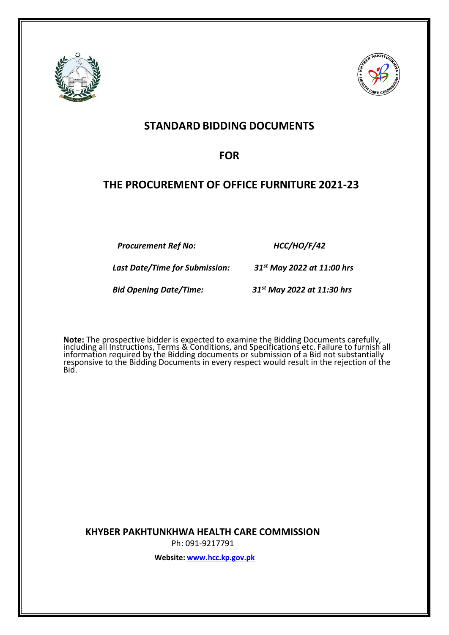



# **STANDARD BIDDING DOCUMENTS**

**FOR**

# **THE PROCUREMENT OF OFFICE FURNITURE 2021-23**

*Procurement Ref No: HCC/HO/F/42*

*Last Date/Time for Submission: 31st May 2022 at 11:00 hrs* 

*Bid Opening Date/Time: 31st May 2022 at 11:30 hrs*

**Note:** The prospective bidder is expected to examine the Bidding Documents carefully, including all Instructions, Terms & Conditions, and Specifications etc. Failure to furnish all information required by the Bidding documents or submission of a Bid not substantially responsive to the Bidding Documents in every respect would result in the rejection of the Bid.

**KHYBER PAKHTUNKHWA HEALTH CARE COMMISSION**

Ph: 091-9217791

**Website: [www.hcc.kp.gov.pk](http://www.hcc.kp.gov.pk/)**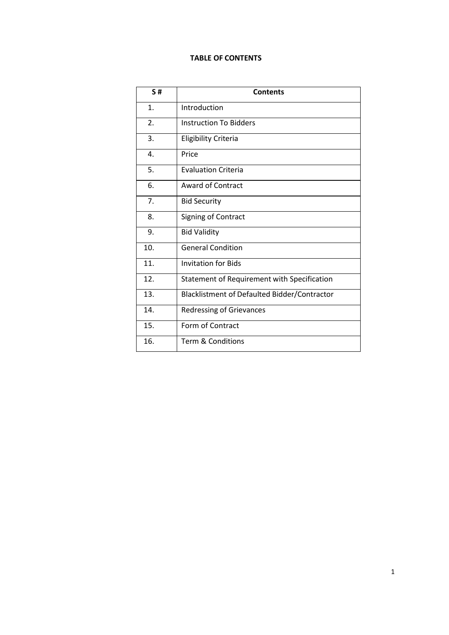#### **TABLE OF CONTENTS**

| <b>S#</b>      | <b>Contents</b>                              |  |  |
|----------------|----------------------------------------------|--|--|
| $\mathbf{1}$ . | Introduction                                 |  |  |
| 2.             | <b>Instruction To Bidders</b>                |  |  |
| 3.             | <b>Eligibility Criteria</b>                  |  |  |
| 4.             | Price                                        |  |  |
| 5.             | <b>Evaluation Criteria</b>                   |  |  |
| 6.             | <b>Award of Contract</b>                     |  |  |
| 7.             | <b>Bid Security</b>                          |  |  |
| 8.             | Signing of Contract                          |  |  |
| 9.             | <b>Bid Validity</b>                          |  |  |
| 10.            | <b>General Condition</b>                     |  |  |
| 11.            | <b>Invitation for Bids</b>                   |  |  |
| 12.            | Statement of Requirement with Specification  |  |  |
| 13.            | Blacklistment of Defaulted Bidder/Contractor |  |  |
| 14.            | <b>Redressing of Grievances</b>              |  |  |
| 15.            | Form of Contract                             |  |  |
| 16.            | <b>Term &amp; Conditions</b>                 |  |  |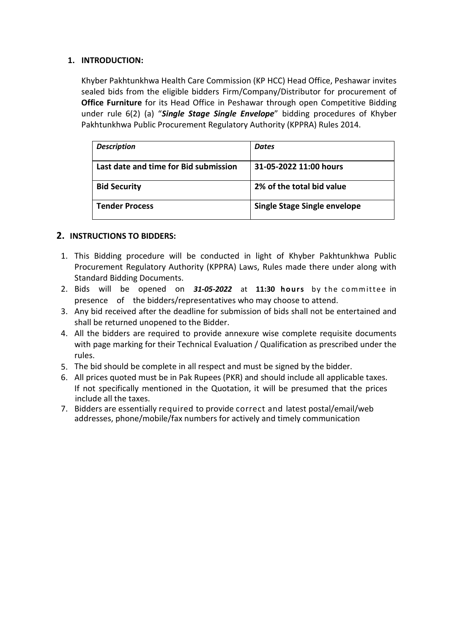## **1. INTRODUCTION:**

Khyber Pakhtunkhwa Health Care Commission (KP HCC) Head Office, Peshawar invites sealed bids from the eligible bidders Firm/Company/Distributor for procurement of **Office Furniture** for its Head Office in Peshawar through open Competitive Bidding under rule 6(2) (a) "*Single Stage Single Envelope*" bidding procedures of Khyber Pakhtunkhwa Public Procurement Regulatory Authority (KPPRA) Rules 2014.

| <b>Description</b>                    | <b>Dates</b>                 |
|---------------------------------------|------------------------------|
| Last date and time for Bid submission | 31-05-2022 11:00 hours       |
| <b>Bid Security</b>                   | 2% of the total bid value    |
| <b>Tender Process</b>                 | Single Stage Single envelope |

### **2. INSTRUCTIONS TO BIDDERS:**

- 1. This Bidding procedure will be conducted in light of Khyber Pakhtunkhwa Public Procurement Regulatory Authority (KPPRA) Laws, Rules made there under along with Standard Bidding Documents.
- 2. Bids will be opened on 31-05-2022 at 11:30 hours by the committee in presence of the bidders/representatives who may choose to attend.
- 3. Any bid received after the deadline for submission of bids shall not be entertained and shall be returned unopened to the Bidder.
- 4. All the bidders are required to provide annexure wise complete requisite documents with page marking for their Technical Evaluation / Qualification as prescribed under the rules.
- 5. The bid should be complete in all respect and must be signed by the bidder.
- 6. All prices quoted must be in Pak Rupees (PKR) and should include all applicable taxes. If not specifically mentioned in the Quotation, it will be presumed that the prices include all the taxes.
- 7. Bidders are essentially required to provide correct and latest postal/email/web addresses, phone/mobile/fax numbers for actively and timely communication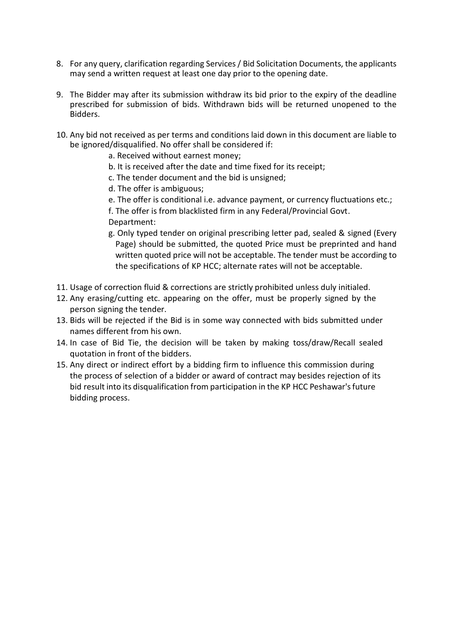- 8. For any query, clarification regarding Services / Bid Solicitation Documents, the applicants may send a written request at least one day prior to the opening date.
- 9. The Bidder may after its submission withdraw its bid prior to the expiry of the deadline prescribed for submission of bids. Withdrawn bids will be returned unopened to the Bidders.
- 10. Any bid not received as per terms and conditions laid down in this document are liable to be ignored/disqualified. No offer shall be considered if:
	- a. Received without earnest money;
	- b. It is received after the date and time fixed for its receipt;
	- c. The tender document and the bid is unsigned;
	- d. The offer is ambiguous;
	- e. The offer is conditional i.e. advance payment, or currency fluctuations etc.; f. The offer is from blacklisted firm in any Federal/Provincial Govt.
	- Department:
	- g. Only typed tender on original prescribing letter pad, sealed & signed (Every Page) should be submitted, the quoted Price must be preprinted and hand written quoted price will not be acceptable. The tender must be according to the specifications of KP HCC; alternate rates will not be acceptable.
- 11. Usage of correction fluid & corrections are strictly prohibited unless duly initialed.
- 12. Any erasing/cutting etc. appearing on the offer, must be properly signed by the person signing the tender.
- 13. Bids will be rejected if the Bid is in some way connected with bids submitted under names different from his own.
- 14. In case of Bid Tie, the decision will be taken by making toss/draw/Recall sealed quotation in front of the bidders.
- 15. Any direct or indirect effort by a bidding firm to influence this commission during the process of selection of a bidder or award of contract may besides rejection of its bid result into its disqualification from participation in the KP HCC Peshawar's future bidding process.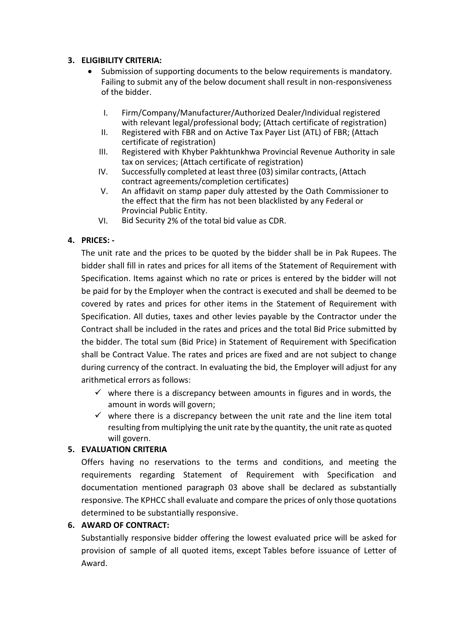### **3. ELIGIBILITY CRITERIA:**

- Submission of supporting documents to the below requirements is mandatory. Failing to submit any of the below document shall result in non-responsiveness of the bidder.
	- I. Firm/Company/Manufacturer/Authorized Dealer/Individual registered with relevant legal/professional body; (Attach certificate of registration)
	- II. Registered with FBR and on Active Tax Payer List (ATL) of FBR; (Attach certificate of registration)
	- III. Registered with Khyber Pakhtunkhwa Provincial Revenue Authority in sale tax on services; (Attach certificate of registration)
	- IV. Successfully completed at least three (03) similar contracts, (Attach contract agreements/completion certificates)
	- V. An affidavit on stamp paper duly attested by the Oath Commissioner to the effect that the firm has not been blacklisted by any Federal or Provincial Public Entity.
	- VI. Bid Security 2% of the total bid value as CDR.

## **4. PRICES: -**

The unit rate and the prices to be quoted by the bidder shall be in Pak Rupees. The bidder shall fill in rates and prices for all items of the Statement of Requirement with Specification. Items against which no rate or prices is entered by the bidder will not be paid for by the Employer when the contract is executed and shall be deemed to be covered by rates and prices for other items in the Statement of Requirement with Specification. All duties, taxes and other levies payable by the Contractor under the Contract shall be included in the rates and prices and the total Bid Price submitted by the bidder. The total sum (Bid Price) in Statement of Requirement with Specification shall be Contract Value. The rates and prices are fixed and are not subject to change during currency of the contract. In evaluating the bid, the Employer will adjust for any arithmetical errors as follows:

- $\checkmark$  where there is a discrepancy between amounts in figures and in words, the amount in words will govern;
- $\checkmark$  where there is a discrepancy between the unit rate and the line item total resulting from multiplying the unit rate by the quantity, the unit rate as quoted will govern.

## **5. EVALUATION CRITERIA**

Offers having no reservations to the terms and conditions, and meeting the requirements regarding Statement of Requirement with Specification and documentation mentioned paragraph 03 above shall be declared as substantially responsive. The KPHCC shall evaluate and compare the prices of only those quotations determined to be substantially responsive.

## **6. AWARD OF CONTRACT:**

Substantially responsive bidder offering the lowest evaluated price will be asked for provision of sample of all quoted items, except Tables before issuance of Letter of Award.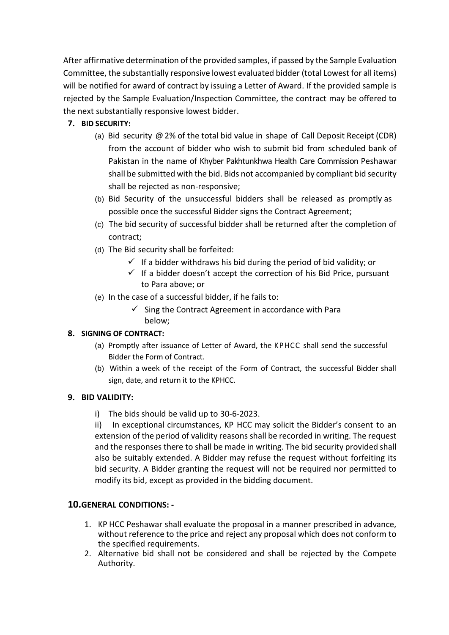After affirmative determination of the provided samples, if passed by the Sample Evaluation Committee, the substantially responsive lowest evaluated bidder (total Lowest for all items) will be notified for award of contract by issuing a Letter of Award. If the provided sample is rejected by the Sample Evaluation/Inspection Committee, the contract may be offered to the next substantially responsive lowest bidder.

## **7. BID SECURITY:**

- (a) Bid security @2% of the total bid value in shape of Call Deposit Receipt (CDR) from the account of bidder who wish to submit bid from scheduled bank of Pakistan in the name of Khyber Pakhtunkhwa Health Care Commission Peshawar shall be submitted with the bid. Bids not accompanied by compliant bid security shall be rejected as non-responsive;
- (b) Bid Security of the unsuccessful bidders shall be released as promptly as possible once the successful Bidder signs the Contract Agreement;
- (c) The bid security of successful bidder shall be returned after the completion of contract;
- (d) The Bid security shall be forfeited:
	- $\checkmark$  If a bidder withdraws his bid during the period of bid validity; or
	- $\checkmark$  If a bidder doesn't accept the correction of his Bid Price, pursuant to Para above; or
- (e) In the case of a successful bidder, if he fails to:
	- $\checkmark$  Sing the Contract Agreement in accordance with Para below;

## **8. SIGNING OF CONTRACT:**

- (a) Promptly after issuance of Letter of Award, the KPHCC shall send the successful Bidder the Form of Contract.
- (b) Within a week of the receipt of the Form of Contract, the successful Bidder shall sign, date, and return it to the KPHCC.

## **9. BID VALIDITY:**

i) The bids should be valid up to 30-6-2023.

ii) In exceptional circumstances, KP HCC may solicit the Bidder's consent to an extension of the period of validity reasons shall be recorded in writing. The request and the responses there to shall be made in writing. The bid security provided shall also be suitably extended. A Bidder may refuse the request without forfeiting its bid security. A Bidder granting the request will not be required nor permitted to modify its bid, except as provided in the bidding document.

## **10.GENERAL CONDITIONS: -**

- 1. KP HCC Peshawar shall evaluate the proposal in a manner prescribed in advance, without reference to the price and reject any proposal which does not conform to the specified requirements.
- 2. Alternative bid shall not be considered and shall be rejected by the Compete Authority.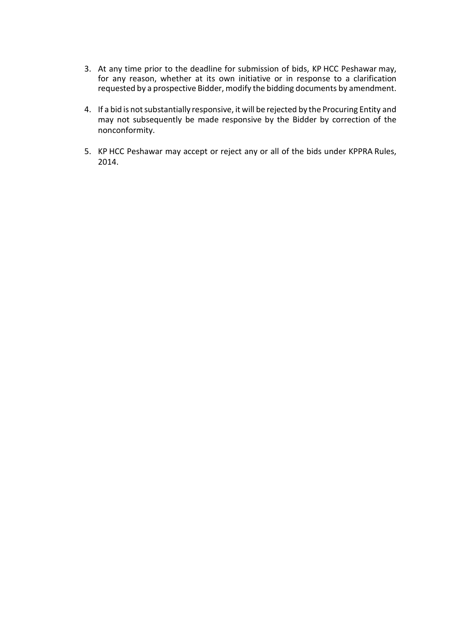- 3. At any time prior to the deadline for submission of bids, KP HCC Peshawar may, for any reason, whether at its own initiative or in response to a clarification requested by a prospective Bidder, modify the bidding documents by amendment.
- 4. If a bid is not substantially responsive, it will be rejected by the Procuring Entity and may not subsequently be made responsive by the Bidder by correction of the nonconformity.
- 5. KP HCC Peshawar may accept or reject any or all of the bids under KPPRA Rules, 2014.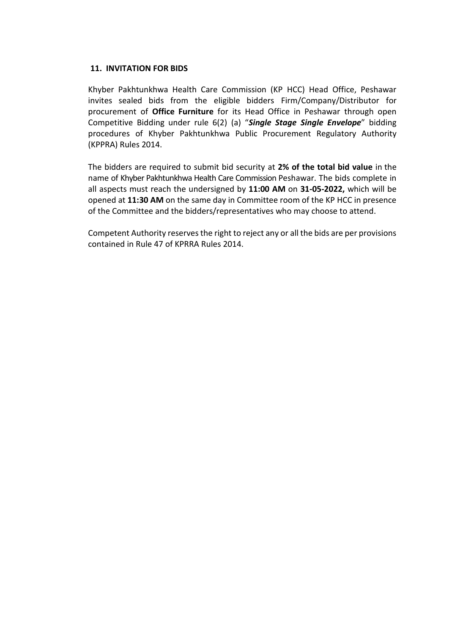#### **11. INVITATION FOR BIDS**

Khyber Pakhtunkhwa Health Care Commission (KP HCC) Head Office, Peshawar invites sealed bids from the eligible bidders Firm/Company/Distributor for procurement of **Office Furniture** for its Head Office in Peshawar through open Competitive Bidding under rule 6(2) (a) "*Single Stage Single Envelope*" bidding procedures of Khyber Pakhtunkhwa Public Procurement Regulatory Authority (KPPRA) Rules 2014.

The bidders are required to submit bid security at **2% of the total bid value** in the name of Khyber Pakhtunkhwa Health Care Commission Peshawar. The bids complete in all aspects must reach the undersigned by **11:00 AM** on **31-05-2022,** which will be opened at **11:30 AM** on the same day in Committee room of the KP HCC in presence of the Committee and the bidders/representatives who may choose to attend.

Competent Authority reserves the right to reject any or all the bids are per provisions contained in Rule 47 of KPRRA Rules 2014.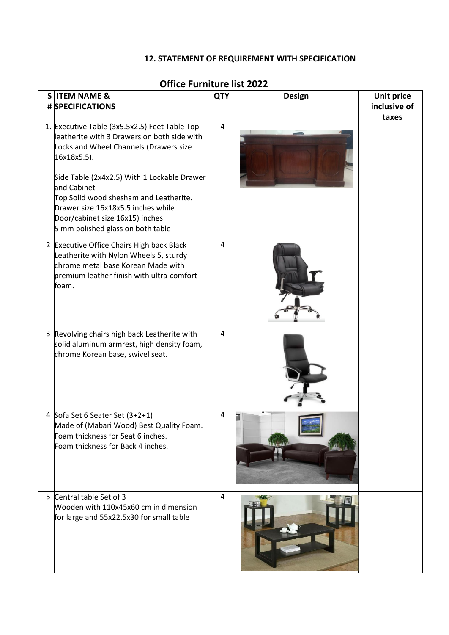# **12. STATEMENT OF REQUIREMENT WITH SPECIFICATION**

| S ITEM NAME &<br># SPECIFICATIONS                                                                                                                                                                                                                                                                                                                                           | <b>QTY</b> | <b>Design</b> | <b>Unit price</b><br>inclusive of<br>taxes |
|-----------------------------------------------------------------------------------------------------------------------------------------------------------------------------------------------------------------------------------------------------------------------------------------------------------------------------------------------------------------------------|------------|---------------|--------------------------------------------|
| 1. Executive Table (3x5.5x2.5) Feet Table Top<br>leatherite with 3 Drawers on both side with<br>Locks and Wheel Channels (Drawers size<br>16x18x5.5).<br>Side Table (2x4x2.5) With 1 Lockable Drawer<br>and Cabinet<br>Top Solid wood shesham and Leatherite.<br>Drawer size 16x18x5.5 inches while<br>Door/cabinet size 16x15) inches<br>5 mm polished glass on both table | 4          |               |                                            |
| 2 Executive Office Chairs High back Black<br>Leatherite with Nylon Wheels 5, sturdy<br>chrome metal base Korean Made with<br>premium leather finish with ultra-comfort<br>foam.                                                                                                                                                                                             | 4          |               |                                            |
| 3 Revolving chairs high back Leatherite with<br>solid aluminum armrest, high density foam,<br>chrome Korean base, swivel seat.                                                                                                                                                                                                                                              | 4          |               |                                            |
| 4 Sofa Set 6 Seater Set (3+2+1)<br>Made of (Mabari Wood) Best Quality Foam.<br>Foam thickness for Seat 6 inches.<br>Foam thickness for Back 4 inches.                                                                                                                                                                                                                       | 4          |               |                                            |
| 5 Central table Set of 3<br>Wooden with 110x45x60 cm in dimension<br>for large and 55x22.5x30 for small table                                                                                                                                                                                                                                                               | 4          |               |                                            |

# **Office Furniture list 2022**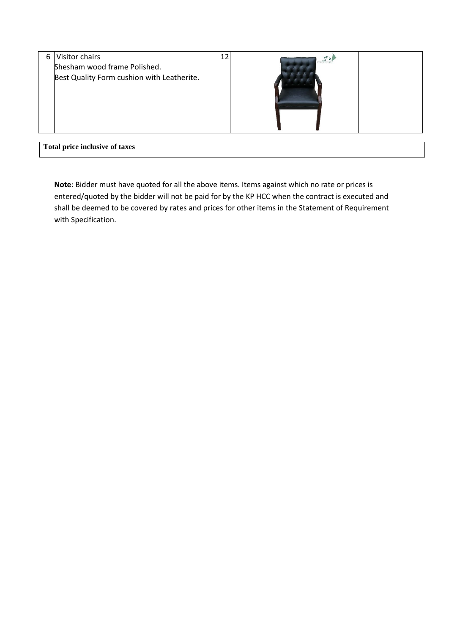

**Total price inclusive of taxes**

**Note**: Bidder must have quoted for all the above items. Items against which no rate or prices is entered/quoted by the bidder will not be paid for by the KP HCC when the contract is executed and shall be deemed to be covered by rates and prices for other items in the Statement of Requirement with Specification.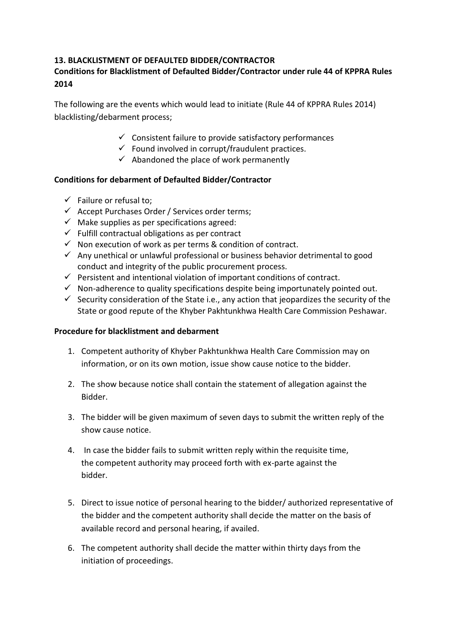## **13. BLACKLISTMENT OF DEFAULTED BIDDER/CONTRACTOR**

# **Conditions for Blacklistment of Defaulted Bidder/Contractor under rule 44 of KPPRA Rules 2014**

The following are the events which would lead to initiate (Rule 44 of KPPRA Rules 2014) blacklisting/debarment process;

- $\checkmark$  Consistent failure to provide satisfactory performances
- $\checkmark$  Found involved in corrupt/fraudulent practices.
- $\checkmark$  Abandoned the place of work permanently

## **Conditions for debarment of Defaulted Bidder/Contractor**

- $\checkmark$  Failure or refusal to:
- $\checkmark$  Accept Purchases Order / Services order terms;
- $\checkmark$  Make supplies as per specifications agreed:
- $\checkmark$  Fulfill contractual obligations as per contract
- $\checkmark$  Non execution of work as per terms & condition of contract.
- $\checkmark$  Any unethical or unlawful professional or business behavior detrimental to good conduct and integrity of the public procurement process.
- $\checkmark$  Persistent and intentional violation of important conditions of contract.
- $\checkmark$  Non-adherence to quality specifications despite being importunately pointed out.
- $\checkmark$  Security consideration of the State i.e., any action that jeopardizes the security of the State or good repute of the Khyber Pakhtunkhwa Health Care Commission Peshawar.

#### **Procedure for blacklistment and debarment**

- 1. Competent authority of Khyber Pakhtunkhwa Health Care Commission may on information, or on its own motion, issue show cause notice to the bidder.
- 2. The show because notice shall contain the statement of allegation against the Bidder.
- 3. The bidder will be given maximum of seven days to submit the written reply of the show cause notice.
- 4. In case the bidder fails to submit written reply within the requisite time, the competent authority may proceed forth with ex-parte against the bidder.
- 5. Direct to issue notice of personal hearing to the bidder/ authorized representative of the bidder and the competent authority shall decide the matter on the basis of available record and personal hearing, if availed.
- 6. The competent authority shall decide the matter within thirty days from the initiation of proceedings.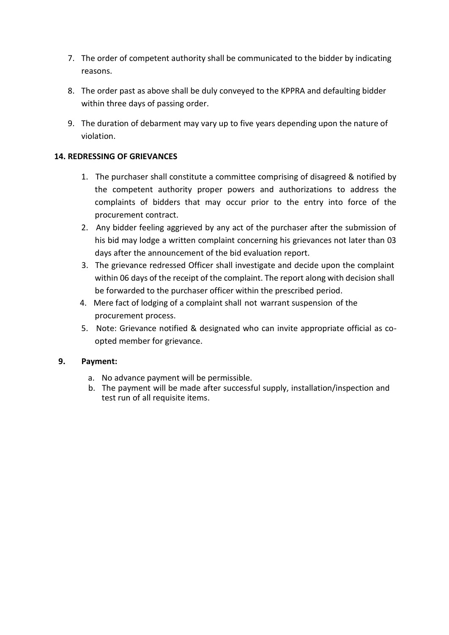- 7. The order of competent authority shall be communicated to the bidder by indicating reasons.
- 8. The order past as above shall be duly conveyed to the KPPRA and defaulting bidder within three days of passing order.
- 9. The duration of debarment may vary up to five years depending upon the nature of violation.

## **14. REDRESSING OF GRIEVANCES**

- 1. The purchaser shall constitute a committee comprising of disagreed & notified by the competent authority proper powers and authorizations to address the complaints of bidders that may occur prior to the entry into force of the procurement contract.
- 2. Any bidder feeling aggrieved by any act of the purchaser after the submission of his bid may lodge a written complaint concerning his grievances not later than 03 days after the announcement of the bid evaluation report.
- 3. The grievance redressed Officer shall investigate and decide upon the complaint within 06 days of the receipt of the complaint. The report along with decision shall be forwarded to the purchaser officer within the prescribed period.
- 4. Mere fact of lodging of a complaint shall not warrant suspension of the procurement process.
- 5. Note: Grievance notified & designated who can invite appropriate official as coopted member for grievance.

## **9. Payment:**

- a. No advance payment will be permissible.
- b. The payment will be made after successful supply, installation/inspection and test run of all requisite items.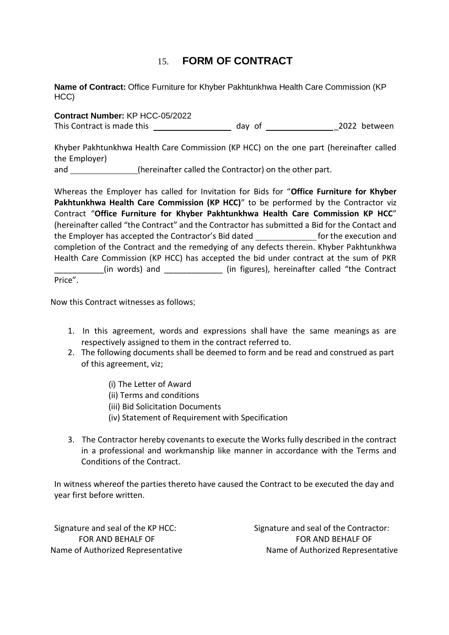# 15. **FORM OF CONTRACT**

**Name of Contract:** Office Furniture for Khyber Pakhtunkhwa Health Care Commission (KP HCC)

| Contract Number: KP HCC-05/2022 |        |              |
|---------------------------------|--------|--------------|
| This Contract is made this      | day of | 2022 between |

Khyber Pakhtunkhwa Health Care Commission (KP HCC) on the one part (hereinafter called the Employer) and (hereinafter called the Contractor) on the other part.

Whereas the Employer has called for Invitation for Bids for "**Office Furniture for Khyber Pakhtunkhwa Health Care Commission (KP HCC)**" to be performed by the Contractor viz Contract "**Office Furniture for Khyber Pakhtunkhwa Health Care Commission KP HCC**" (hereinafter called "the Contract" and the Contractor has submitted a Bid for the Contact and the Employer has accepted the Contractor's Bid dated for the execution and completion of the Contract and the remedying of any defects therein. Khyber Pakhtunkhwa Health Care Commission (KP HCC) has accepted the bid under contract at the sum of PKR (in words) and \_\_\_\_\_\_\_\_\_\_\_\_\_ (in figures), hereinafter called "the Contract Price".

Now this Contract witnesses as follows;

- 1. In this agreement, words and expressions shall have the same meanings as are respectively assigned to them in the contract referred to.
- 2. The following documents shall be deemed to form and be read and construed as part of this agreement, viz;
	- (i) The Letter of Award
	- (ii) Terms and conditions
	- (iii) Bid Solicitation Documents
	- (iv) Statement of Requirement with Specification
- 3. The Contractor hereby covenants to execute the Works fully described in the contract in a professional and workmanship like manner in accordance with the Terms and Conditions of the Contract.

In witness whereof the parties thereto have caused the Contract to be executed the day and year first before written.

Signature and seal of the KP HCC: Signature and seal of the Contractor: FOR AND BEHALF OF THE STATE STATE STATE SECTION AND BEHALF OF Name of Authorized Representative Name of Authorized Representative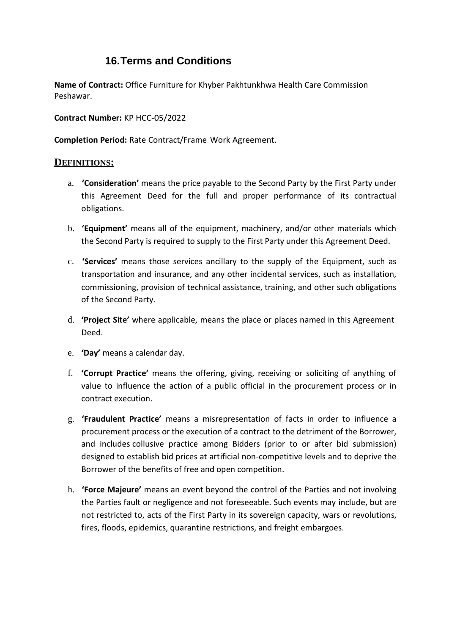# **16.Terms and Conditions**

**Name of Contract:** Office Furniture for Khyber Pakhtunkhwa Health Care Commission Peshawar.

**Contract Number:** KP HCC-05/2022

**Completion Period:** Rate Contract/Frame Work Agreement.

## **DEFINITIONS:**

- a. **'Consideration'** means the price payable to the Second Party by the First Party under this Agreement Deed for the full and proper performance of its contractual obligations.
- b. **'Equipment'** means all of the equipment, machinery, and/or other materials which the Second Party is required to supply to the First Party under this Agreement Deed.
- c. **'Services'** means those services ancillary to the supply of the Equipment, such as transportation and insurance, and any other incidental services, such as installation, commissioning, provision of technical assistance, training, and other such obligations of the Second Party.
- d. **'Project Site'** where applicable, means the place or places named in this Agreement Deed.
- e. **'Day'** means a calendar day.
- f. **'Corrupt Practice'** means the offering, giving, receiving or soliciting of anything of value to influence the action of a public official in the procurement process or in contract execution.
- g. **'Fraudulent Practice'** means a misrepresentation of facts in order to influence a procurement process or the execution of a contract to the detriment of the Borrower, and includes collusive practice among Bidders (prior to or after bid submission) designed to establish bid prices at artificial non-competitive levels and to deprive the Borrower of the benefits of free and open competition.
- h. **'Force Majeure'** means an event beyond the control of the Parties and not involving the Parties fault or negligence and not foreseeable. Such events may include, but are not restricted to, acts of the First Party in its sovereign capacity, wars or revolutions, fires, floods, epidemics, quarantine restrictions, and freight embargoes.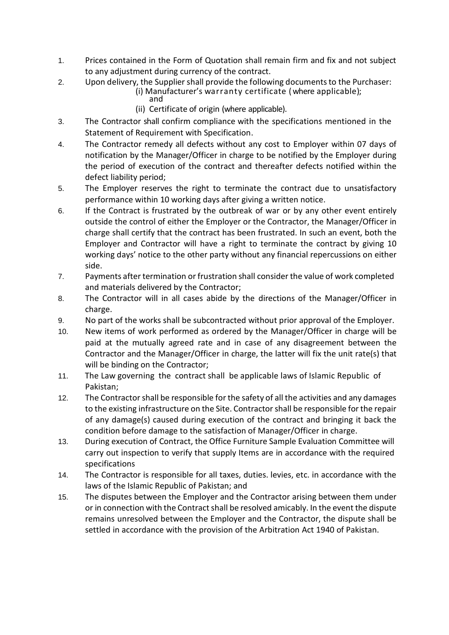- 1. Prices contained in the Form of Quotation shall remain firm and fix and not subject to any adjustment during currency of the contract.
- 2. Upon delivery, the Supplier shall provide the following documentsto the Purchaser:
	- (i) Manufacturer's warranty certificate (where applicable); and
	- (ii) Certificate of origin (where applicable).
- 3. The Contractor shall confirm compliance with the specifications mentioned in the Statement of Requirement with Specification.
- 4. The Contractor remedy all defects without any cost to Employer within 07 days of notification by the Manager/Officer in charge to be notified by the Employer during the period of execution of the contract and thereafter defects notified within the defect liability period;
- 5. The Employer reserves the right to terminate the contract due to unsatisfactory performance within 10 working days after giving a written notice.
- 6. If the Contract is frustrated by the outbreak of war or by any other event entirely outside the control of either the Employer or the Contractor, the Manager/Officer in charge shall certify that the contract has been frustrated. In such an event, both the Employer and Contractor will have a right to terminate the contract by giving 10 working days' notice to the other party without any financial repercussions on either side.
- 7. Payments after termination or frustration shall consider the value of work completed and materials delivered by the Contractor;
- 8. The Contractor will in all cases abide by the directions of the Manager/Officer in charge.
- 9. No part of the works shall be subcontracted without prior approval of the Employer.
- 10. New items of work performed as ordered by the Manager/Officer in charge will be paid at the mutually agreed rate and in case of any disagreement between the Contractor and the Manager/Officer in charge, the latter will fix the unit rate(s) that will be binding on the Contractor;
- 11. The Law governing the contract shall be applicable laws of Islamic Republic of Pakistan;
- 12. The Contractor shall be responsible for the safety of all the activities and any damages to the existing infrastructure on the Site. Contractor shall be responsible for the repair of any damage(s) caused during execution of the contract and bringing it back the condition before damage to the satisfaction of Manager/Officer in charge.
- 13. During execution of Contract, the Office Furniture Sample Evaluation Committee will carry out inspection to verify that supply Items are in accordance with the required specifications
- 14. The Contractor is responsible for all taxes, duties. levies, etc. in accordance with the laws of the Islamic Republic of Pakistan; and
- 15. The disputes between the Employer and the Contractor arising between them under or in connection with the Contract shall be resolved amicably. In the event the dispute remains unresolved between the Employer and the Contractor, the dispute shall be settled in accordance with the provision of the Arbitration Act 1940 of Pakistan.